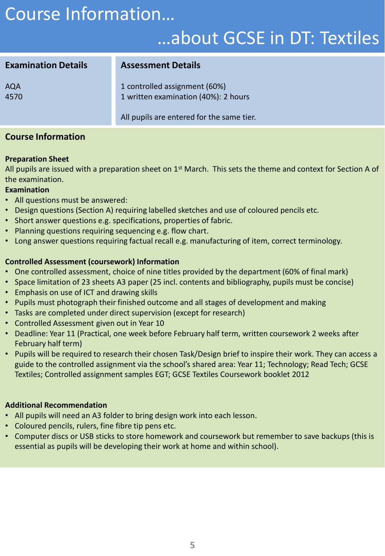# Course Information…

## …about GCSE in DT: Textiles

| <b>Examination Details</b> | <b>Assessment Details</b>                                             |
|----------------------------|-----------------------------------------------------------------------|
| <b>AQA</b><br>4570         | 1 controlled assignment (60%)<br>1 written examination (40%): 2 hours |
|                            | All pupils are entered for the same tier.                             |

### **Course Information**

#### **Preparation Sheet**

All pupils are issued with a preparation sheet on  $1<sup>st</sup>$  March. This sets the theme and context for Section A of the examination.

#### **Examination**

- All questions must be answered:
- Design questions (Section A) requiring labelled sketches and use of coloured pencils etc.
- Short answer questions e.g. specifications, properties of fabric.
- Planning questions requiring sequencing e.g. flow chart.
- Long answer questions requiring factual recall e.g. manufacturing of item, correct terminology.

### **Controlled Assessment (coursework) Information**

- One controlled assessment, choice of nine titles provided by the department (60% of final mark)
- Space limitation of 23 sheets A3 paper (25 incl. contents and bibliography, pupils must be concise)
- Emphasis on use of ICT and drawing skills
- Pupils must photograph their finished outcome and all stages of development and making
- Tasks are completed under direct supervision (except for research)
- Controlled Assessment given out in Year 10
- Deadline: Year 11 (Practical, one week before February half term, written coursework 2 weeks after February half term)
- Pupils will be required to research their chosen Task/Design brief to inspire their work. They can access a guide to the controlled assignment via the school's shared area: Year 11; Technology; Read Tech; GCSE Textiles; Controlled assignment samples EGT; GCSE Textiles Coursework booklet 2012

#### **Additional Recommendation**

- All pupils will need an A3 folder to bring design work into each lesson.
- Coloured pencils, rulers, fine fibre tip pens etc.
- Computer discs or USB sticks to store homework and coursework but remember to save backups (this is essential as pupils will be developing their work at home and within school).